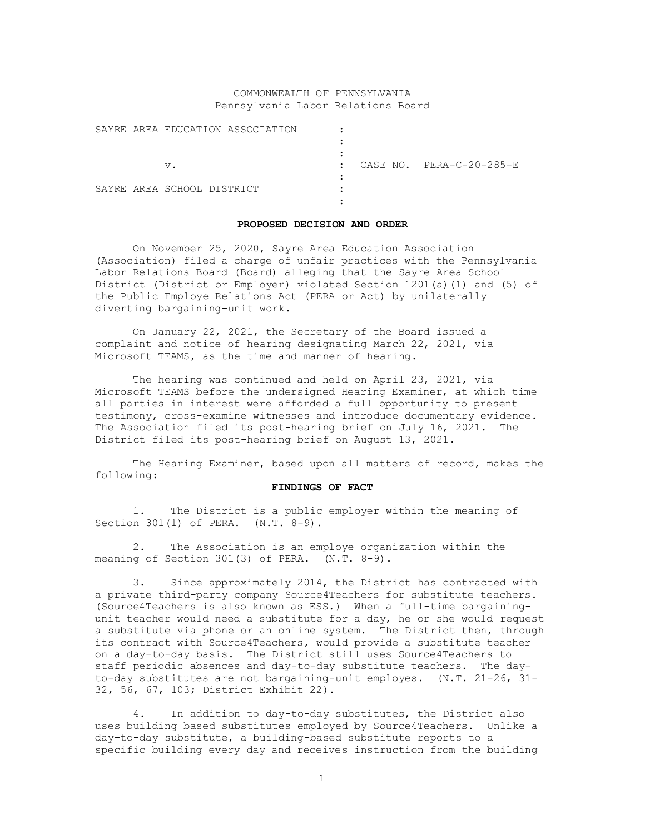# COMMONWEALTH OF PENNSYLVANIA Pennsylvania Labor Relations Board

|  |                            | SAYRE AREA EDUCATION ASSOCIATION |  |                          |
|--|----------------------------|----------------------------------|--|--------------------------|
|  |                            |                                  |  |                          |
|  | v.                         |                                  |  | CASE NO. PERA-C-20-285-E |
|  | SAYRE AREA SCHOOL DISTRICT |                                  |  |                          |
|  |                            |                                  |  |                          |

#### **PROPOSED DECISION AND ORDER**

On November 25, 2020, Sayre Area Education Association (Association) filed a charge of unfair practices with the Pennsylvania Labor Relations Board (Board) alleging that the Sayre Area School District (District or Employer) violated Section 1201(a)(1) and (5) of the Public Employe Relations Act (PERA or Act) by unilaterally diverting bargaining-unit work.

On January 22, 2021, the Secretary of the Board issued a complaint and notice of hearing designating March 22, 2021, via Microsoft TEAMS, as the time and manner of hearing.

The hearing was continued and held on April 23, 2021, via Microsoft TEAMS before the undersigned Hearing Examiner, at which time all parties in interest were afforded a full opportunity to present testimony, cross-examine witnesses and introduce documentary evidence. The Association filed its post-hearing brief on July 16, 2021. The District filed its post-hearing brief on August 13, 2021.

The Hearing Examiner, based upon all matters of record, makes the following:

## **FINDINGS OF FACT**

1. The District is a public employer within the meaning of Section 301(1) of PERA. (N.T. 8-9).

2. The Association is an employe organization within the meaning of Section 301(3) of PERA. (N.T. 8-9).

3. Since approximately 2014, the District has contracted with a private third-party company Source4Teachers for substitute teachers. (Source4Teachers is also known as ESS.) When a full-time bargainingunit teacher would need a substitute for a day, he or she would request a substitute via phone or an online system. The District then, through its contract with Source4Teachers, would provide a substitute teacher on a day-to-day basis. The District still uses Source4Teachers to staff periodic absences and day-to-day substitute teachers. The dayto-day substitutes are not bargaining-unit employes. (N.T. 21-26, 31- 32, 56, 67, 103; District Exhibit 22).

4. In addition to day-to-day substitutes, the District also uses building based substitutes employed by Source4Teachers. Unlike a day-to-day substitute, a building-based substitute reports to a specific building every day and receives instruction from the building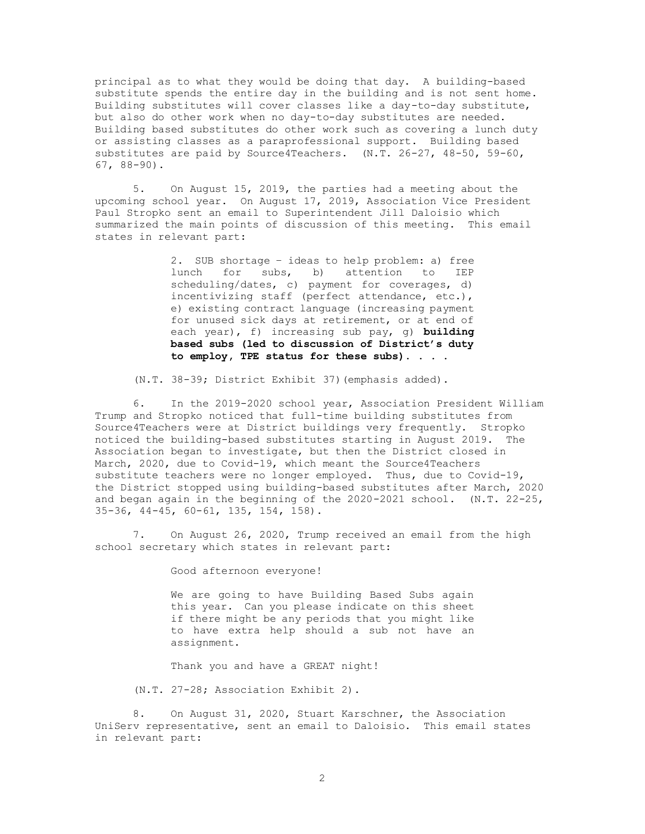principal as to what they would be doing that day. A building-based substitute spends the entire day in the building and is not sent home. Building substitutes will cover classes like a day-to-day substitute, but also do other work when no day-to-day substitutes are needed. Building based substitutes do other work such as covering a lunch duty or assisting classes as a paraprofessional support. Building based substitutes are paid by Source4Teachers. (N.T. 26-27, 48-50, 59-60, 67, 88-90).

5. On August 15, 2019, the parties had a meeting about the upcoming school year. On August 17, 2019, Association Vice President Paul Stropko sent an email to Superintendent Jill Daloisio which summarized the main points of discussion of this meeting. This email states in relevant part:

> 2. SUB shortage – ideas to help problem: a) free lunch for subs, b) attention to IEP scheduling/dates, c) payment for coverages, d) incentivizing staff (perfect attendance, etc.), e) existing contract language (increasing payment for unused sick days at retirement, or at end of each year), f) increasing sub pay, g) **building based subs (led to discussion of District's duty to employ, TPE status for these subs)**. . . .

(N.T. 38-39; District Exhibit 37)(emphasis added).

6. In the 2019-2020 school year, Association President William Trump and Stropko noticed that full-time building substitutes from Source4Teachers were at District buildings very frequently. Stropko noticed the building-based substitutes starting in August 2019. The Association began to investigate, but then the District closed in March, 2020, due to Covid-19, which meant the Source4Teachers substitute teachers were no longer employed. Thus, due to Covid-19, the District stopped using building-based substitutes after March, 2020 and began again in the beginning of the 2020-2021 school. (N.T. 22-25, 35-36, 44-45, 60-61, 135, 154, 158).

7. On August 26, 2020, Trump received an email from the high school secretary which states in relevant part:

Good afternoon everyone!

We are going to have Building Based Subs again this year. Can you please indicate on this sheet if there might be any periods that you might like to have extra help should a sub not have an assignment.

Thank you and have a GREAT night!

(N.T. 27-28; Association Exhibit 2).

8. On August 31, 2020, Stuart Karschner, the Association UniServ representative, sent an email to Daloisio. This email states in relevant part: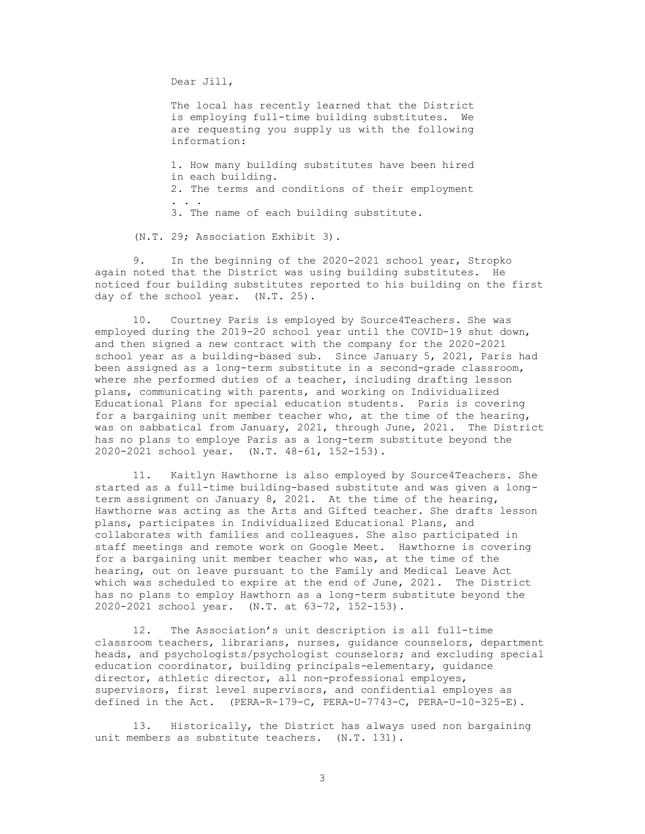Dear Jill,

The local has recently learned that the District is employing full-time building substitutes. We are requesting you supply us with the following information:

1. How many building substitutes have been hired in each building. 2. The terms and conditions of their employment . . . 3. The name of each building substitute.

(N.T. 29; Association Exhibit 3).

9. In the beginning of the 2020-2021 school year, Stropko again noted that the District was using building substitutes. He noticed four building substitutes reported to his building on the first day of the school year. (N.T. 25).

10. Courtney Paris is employed by Source4Teachers. She was employed during the 2019-20 school year until the COVID-19 shut down, and then signed a new contract with the company for the 2020-2021 school year as a building-based sub. Since January 5, 2021, Paris had been assigned as a long-term substitute in a second-grade classroom, where she performed duties of a teacher, including drafting lesson plans, communicating with parents, and working on Individualized Educational Plans for special education students. Paris is covering for a bargaining unit member teacher who, at the time of the hearing, was on sabbatical from January, 2021, through June, 2021. The District has no plans to employe Paris as a long-term substitute beyond the 2020-2021 school year. (N.T. 48-61, 152-153).

11. Kaitlyn Hawthorne is also employed by Source4Teachers. She started as a full-time building-based substitute and was given a longterm assignment on January 8, 2021. At the time of the hearing, Hawthorne was acting as the Arts and Gifted teacher. She drafts lesson plans, participates in Individualized Educational Plans, and collaborates with families and colleagues. She also participated in staff meetings and remote work on Google Meet. Hawthorne is covering for a bargaining unit member teacher who was, at the time of the hearing, out on leave pursuant to the Family and Medical Leave Act which was scheduled to expire at the end of June, 2021. The District has no plans to employ Hawthorn as a long-term substitute beyond the 2020-2021 school year. (N.T. at 63-72, 152-153).

12. The Association's unit description is all full-time classroom teachers, librarians, nurses, guidance counselors, department heads, and psychologists/psychologist counselors; and excluding special education coordinator, building principals-elementary, guidance director, athletic director, all non-professional employes, supervisors, first level supervisors, and confidential employes as defined in the Act. (PERA-R-179-C, PERA-U-7743-C, PERA-U-10-325-E).

13. Historically, the District has always used non bargaining unit members as substitute teachers. (N.T. 131).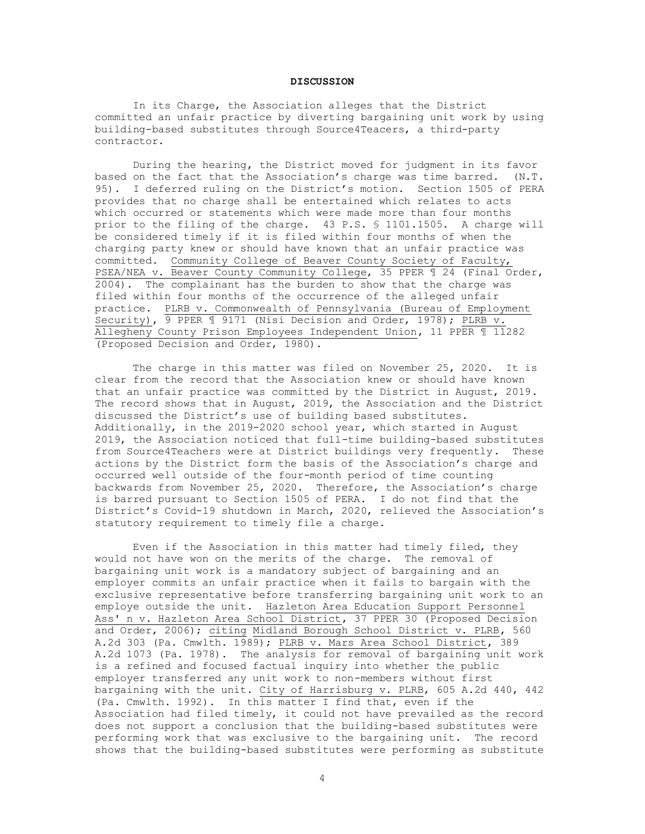# **DISCUSSION**

In its Charge, the Association alleges that the District committed an unfair practice by diverting bargaining unit work by using building-based substitutes through Source4Teacers, a third-party contractor.

During the hearing, the District moved for judgment in its favor based on the fact that the Association's charge was time barred. (N.T. 95). I deferred ruling on the District's motion. Section 1505 of PERA provides that no charge shall be entertained which relates to acts which occurred or statements which were made more than four months prior to the filing of the charge. 43 P.S. § 1101.1505. A charge will be considered timely if it is filed within four months of when the charging party knew or should have known that an unfair practice was committed. Community College of Beaver County Society of Faculty, PSEA/NEA v. Beaver County Community College, 35 PPER 1 24 (Final Order, 2004). The complainant has the burden to show that the charge was filed within four months of the occurrence of the alleged unfair practice. PLRB v. Commonwealth of Pennsylvania (Bureau of Employment Security),  $\overline{9}$  PPER  $\overline{9}$  9171 (Nisi Decision and Order, 1978); PLRB v. Allegheny County Prison Employees Independent Union, 11 PPER ¶ 11282 (Proposed Decision and Order, 1980).

The charge in this matter was filed on November 25, 2020. It is clear from the record that the Association knew or should have known that an unfair practice was committed by the District in August, 2019. The record shows that in August, 2019, the Association and the District discussed the District's use of building based substitutes. Additionally, in the 2019-2020 school year, which started in August 2019, the Association noticed that full-time building-based substitutes from Source4Teachers were at District buildings very frequently. These actions by the District form the basis of the Association's charge and occurred well outside of the four-month period of time counting backwards from November 25, 2020. Therefore, the Association's charge is barred pursuant to Section 1505 of PERA. I do not find that the District's Covid-19 shutdown in March, 2020, relieved the Association's statutory requirement to timely file a charge.

Even if the Association in this matter had timely filed, they would not have won on the merits of the charge. The removal of bargaining unit work is a mandatory subject of bargaining and an employer commits an unfair practice when it fails to bargain with the exclusive representative before transferring bargaining unit work to an employe outside the unit. Hazleton Area Education Support Personnel Ass' n v. Hazleton Area School District, 37 PPER 30 (Proposed Decision and Order, 2006); citing Midland Borough School District v. PLRB, 560 A.2d 303 (Pa. Cmwlth. 1989); PLRB v. Mars Area School District, 389 A.2d 1073 (Pa. 1978). The analysis for removal of bargaining unit work is a refined and focused factual inquiry into whether the public employer transferred any unit work to non-members without first bargaining with the unit. City of Harrisburg v. PLRB, 605 A.2d 440, 442 (Pa. Cmwlth. 1992). In this matter I find that, even if the Association had filed timely, it could not have prevailed as the record does not support a conclusion that the building-based substitutes were performing work that was exclusive to the bargaining unit. The record shows that the building-based substitutes were performing as substitute

4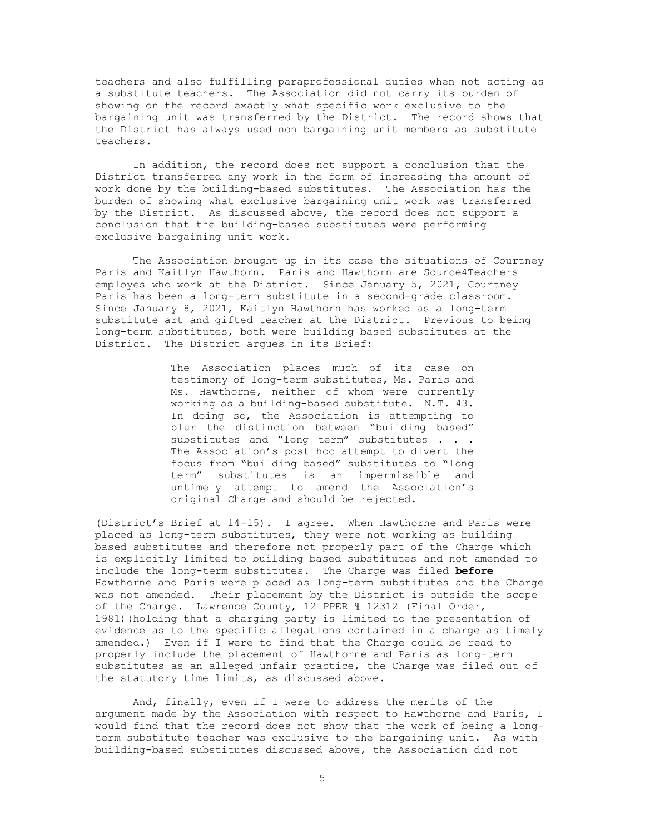teachers and also fulfilling paraprofessional duties when not acting as a substitute teachers. The Association did not carry its burden of showing on the record exactly what specific work exclusive to the bargaining unit was transferred by the District. The record shows that the District has always used non bargaining unit members as substitute teachers.

In addition, the record does not support a conclusion that the District transferred any work in the form of increasing the amount of work done by the building-based substitutes. The Association has the burden of showing what exclusive bargaining unit work was transferred by the District. As discussed above, the record does not support a conclusion that the building-based substitutes were performing exclusive bargaining unit work.

The Association brought up in its case the situations of Courtney Paris and Kaitlyn Hawthorn. Paris and Hawthorn are Source4Teachers employes who work at the District. Since January 5, 2021, Courtney Paris has been a long-term substitute in a second-grade classroom. Since January 8, 2021, Kaitlyn Hawthorn has worked as a long-term substitute art and gifted teacher at the District. Previous to being long-term substitutes, both were building based substitutes at the District. The District argues in its Brief:

> The Association places much of its case on testimony of long-term substitutes, Ms. Paris and Ms. Hawthorne, neither of whom were currently working as a building-based substitute. N.T. 43. In doing so, the Association is attempting to blur the distinction between "building based" substitutes and "long term" substitutes . . . The Association's post hoc attempt to divert the focus from "building based" substitutes to "long term" substitutes is an impermissible and untimely attempt to amend the Association's original Charge and should be rejected.

(District's Brief at 14-15). I agree. When Hawthorne and Paris were placed as long-term substitutes, they were not working as building based substitutes and therefore not properly part of the Charge which is explicitly limited to building based substitutes and not amended to include the long-term substitutes. The Charge was filed **before** Hawthorne and Paris were placed as long-term substitutes and the Charge was not amended. Their placement by the District is outside the scope of the Charge. Lawrence County, 12 PPER 1 12312 (Final Order, 1981)(holding that a charging party is limited to the presentation of evidence as to the specific allegations contained in a charge as timely amended.) Even if I were to find that the Charge could be read to properly include the placement of Hawthorne and Paris as long-term substitutes as an alleged unfair practice, the Charge was filed out of the statutory time limits, as discussed above.

And, finally, even if I were to address the merits of the argument made by the Association with respect to Hawthorne and Paris, I would find that the record does not show that the work of being a longterm substitute teacher was exclusive to the bargaining unit. As with building-based substitutes discussed above, the Association did not